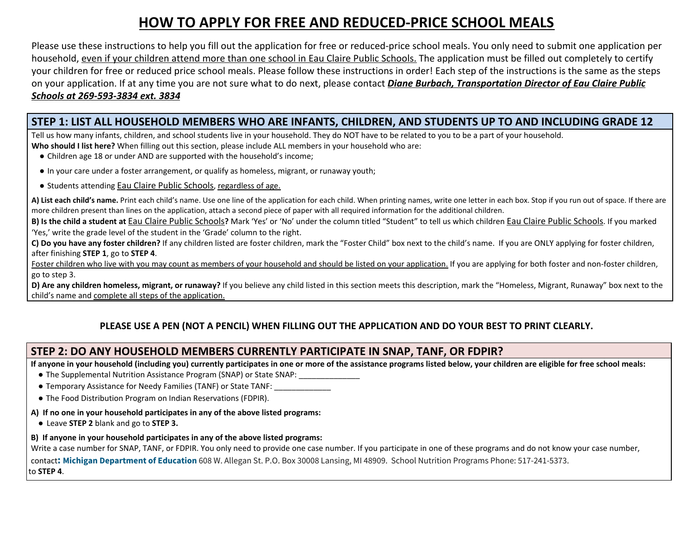# **HOW TO APPLY FOR FREE AND REDUCED-PRICE SCHOOL MEALS**

Please use these instructions to help you fill out the application for free or reduced-price school meals. You only need to submit one application per household, even if your children attend more than one school in Eau Claire Public Schools. The application must be filled out completely to certify your children for free or reduced price school meals. Please follow these instructions in order! Each step of the instructions is the same as the steps on your application. If at any time you are not sure what to do next, please contact *Diane Burbach, Transportation Director of Eau Claire Public Schools at 269-593-3834 ext. 3834*

# STEP 1: LIST ALL HOUSEHOLD MEMBERS WHO ARE INFANTS, CHILDREN, AND STUDENTS UP TO AND INCLUDING GRADE 12

Tell us how many infants, children, and school students live in your household. They do NOT have to be related to you to be a part of your household.

**Who should I list here?** When filling out this section, please include ALL members in your household who are:

- Children age 18 or under AND are supported with the household's income;
- In your care under a foster arrangement, or qualify as homeless, migrant, or runaway youth;
- Students attending Eau Claire Public Schools, regardless of age.

A) List each child's name. Print each child's name. Use one line of the application for each child. When printing names, write one letter in each box. Stop if you run out of space. If there are more children present than lines on the application, attach a second piece of paper with all required information for the additional children.

B) Is the child a student at Eau Claire Public Schools? Mark 'Yes' or 'No' under the column titled "Student" to tell us which children Eau Claire Public Schools. If you marked 'Yes,' write the grade level of the student in the 'Grade' column to the right.

C) Do you have any foster children? If any children listed are foster children, mark the "Foster Child" box next to the child's name. If you are ONLY applying for foster children, after finishing **STEP 1**, go to **STEP 4**.

Foster children who live with you may count as members of your household and should be listed on your application. If you are applying for both foster and non-foster children, go to step 3.

D) Are any children homeless, migrant, or runaway? If you believe any child listed in this section meets this description, mark the "Homeless, Migrant, Runaway" box next to the child's name and complete all steps of the application.

# **PLEASE USE A PEN (NOT A PENCIL) WHEN FILLING OUT THE APPLICATION AND DO YOUR BEST TO PRINT CLEARLY.**

# **STEP 2: DO ANY HOUSEHOLD MEMBERS CURRENTLY PARTICIPATE IN SNAP, TANF, OR FDPIR?**

If anyone in your household (including you) currently participates in one or more of the assistance programs listed below, your children are eligible for free school meals:

- The Supplemental Nutrition Assistance Program (SNAP) or State SNAP:
- Temporary Assistance for Needy Families (TANF) or State TANF: \_\_\_\_\_\_\_\_\_\_\_\_\_\_\_
- The Food Distribution Program on Indian Reservations (FDPIR).

### **A) If no one in your household participates in any of the above listed programs:**

● Leave **STEP 2** blank and go to **STEP 3.**

### **B) If anyone in your household participates in any of the above listed programs:**

Write a case number for SNAP, TANF, or FDPIR. You only need to provide one case number. If you participate in one of these programs and do not know your case number, contact**: Michigan Department of Education** 608 W. Allegan St. P.O. Box 30008 Lansing, MI 48909. School Nutrition Programs Phone: 517-241-5373. to **STEP 4**.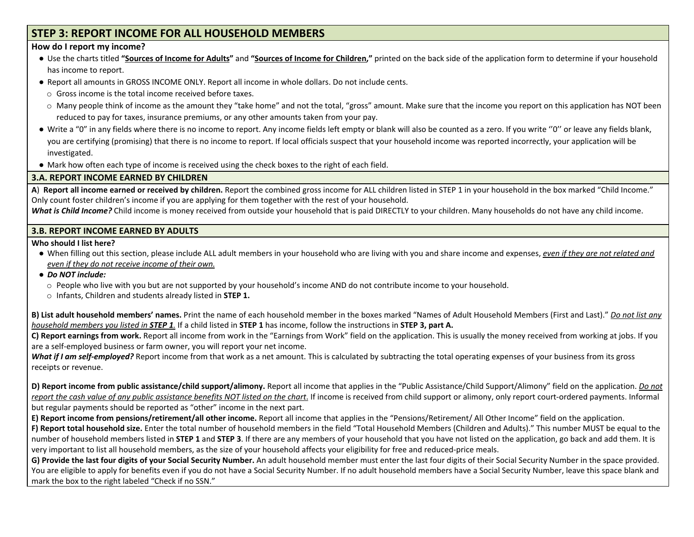# **STEP 3: REPORT INCOME FOR ALL HOUSEHOLD MEMBERS**

#### **How do I report my income?**

- Use the charts titled "Sources of Income for Adults" and "Sources of Income for Children," printed on the back side of the application form to determine if your household has income to report.
- Report all amounts in GROSS INCOME ONLY. Report all income in whole dollars. Do not include cents.
	- o Gross income is the total income received before taxes.
- $\circ$  Many people think of income as the amount they "take home" and not the total, "gross" amount. Make sure that the income you report on this application has NOT been reduced to pay for taxes, insurance premiums, or any other amounts taken from your pay.
- Write a "0" in any fields where there is no income to report. Any income fields left empty or blank will also be counted as a zero. If you write "0" or leave any fields blank, you are certifying (promising) that there is no income to report. If local officials suspect that your household income was reported incorrectly, your application will be investigated.
- Mark how often each type of income is received using the check boxes to the right of each field.

### **3.A. REPORT INCOME EARNED BY CHILDREN**

A) Report all income earned or received by children. Report the combined gross income for ALL children listed in STEP 1 in your household in the box marked "Child Income." Only count foster children's income if you are applying for them together with the rest of your household.

*What is Child Income?* Child income is money received from outside your household that is paid DIRECTLY to your children. Many households do not have any child income.

### **3.B. REPORT INCOME EARNED BY ADULTS**

**Who should I list here?**

- When filling out this section, please include ALL adult members in your household who are living with you and share income and expenses, even if they are not related and *even if they do not receive income of their own.*
- *● Do NOT include:*
	- o People who live with you but are not supported by your household's income AND do not contribute income to your household.
	- o Infants, Children and students already listed in **STEP 1.**

B) List adult household members' names. Print the name of each household member in the boxes marked "Names of Adult Household Members (First and Last)." Do not list any *household members you listed in STEP 1.* If a child listed in **STEP 1** has income, follow the instructions in **STEP 3, part A.**

**C) Report earnings from work.** Report all income from work in the "Earnings from Work" field on the application. This is usually the money received from working at jobs. If you are a self-employed business or farm owner, you will report your net income.

*What if I am self-employed?* Report income from that work as a net amount. This is calculated by subtracting the total operating expenses of your business from its gross receipts or revenue.

D) Report income from public assistance/child support/alimony. Report all income that applies in the "Public Assistance/Child Support/Alimony" field on the application. Do not report the cash value of any public assistance benefits NOT listed on the chart. If income is received from child support or alimony, only report court-ordered payments. Informal but regular payments should be reported as "other" income in the next part.

**E) Report income from pensions/retirement/all other income.** Report all income that applies in the "Pensions/Retirement/ All Other Income" field on the application.

**F) Report total household size.** Enter the total number of household members in the field "Total Household Members (Children and Adults)." This number MUST be equal to the number of household members listed in **STEP 1** and **STEP 3**. If there are any members of your household that you have not listed on the application, go back and add them. It is very important to list all household members, as the size of your household affects your eligibility for free and reduced-price meals.

G) Provide the last four digits of your Social Security Number. An adult household member must enter the last four digits of their Social Security Number in the space provided. You are eligible to apply for benefits even if you do not have a Social Security Number. If no adult household members have a Social Security Number, leave this space blank and mark the box to the right labeled "Check if no SSN."